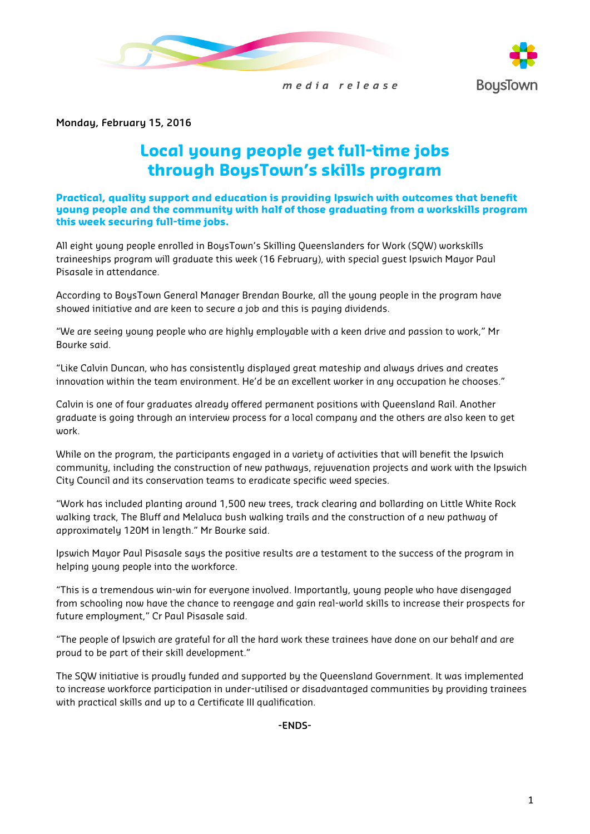



media release

**Monday, February 15, 2016**

## **Local young people get full-time jobs through BoysTown's skills program**

**Practical, quality support and education is providing Ipswich with outcomes that benefit young people and the community with half of those graduating from a workskills program this week securing full-time jobs.** 

All eight young people enrolled in BoysTown's Skilling Queenslanders for Work (SQW) workskills traineeships program will graduate this week (16 February), with special guest Ipswich Mayor Paul Pisasale in attendance.

According to BoysTown General Manager Brendan Bourke, all the young people in the program have showed initiative and are keen to secure a job and this is paying dividends.

"We are seeing young people who are highly employable with a keen drive and passion to work," Mr Bourke said.

"Like Calvin Duncan, who has consistently displayed great mateship and always drives and creates innovation within the team environment. He'd be an excellent worker in any occupation he chooses."

Calvin is one of four graduates already offered permanent positions with Queensland Rail. Another graduate is going through an interview process for a local company and the others are also keen to get work.

While on the program, the participants engaged in a variety of activities that will benefit the Ipswich community, including the construction of new pathways, rejuvenation projects and work with the Ipswich City Council and its conservation teams to eradicate specific weed species.

"Work has included planting around 1,500 new trees, track clearing and bollarding on Little White Rock walking track, The Bluff and Melaluca bush walking trails and the construction of a new pathway of approximately 120M in length." Mr Bourke said.

Ipswich Mayor Paul Pisasale says the positive results are a testament to the success of the program in helping young people into the workforce.

"This is a tremendous win-win for everyone involved. Importantly, young people who have disengaged from schooling now have the chance to reengage and gain real-world skills to increase their prospects for future employment," Cr Paul Pisasale said.

"The people of Ipswich are grateful for all the hard work these trainees have done on our behalf and are proud to be part of their skill development."

The SQW initiative is proudly funded and supported by the Queensland Government. It was implemented to increase workforce participation in under-utilised or disadvantaged communities by providing trainees with practical skills and up to a Certificate III qualification.

**-ENDS-**